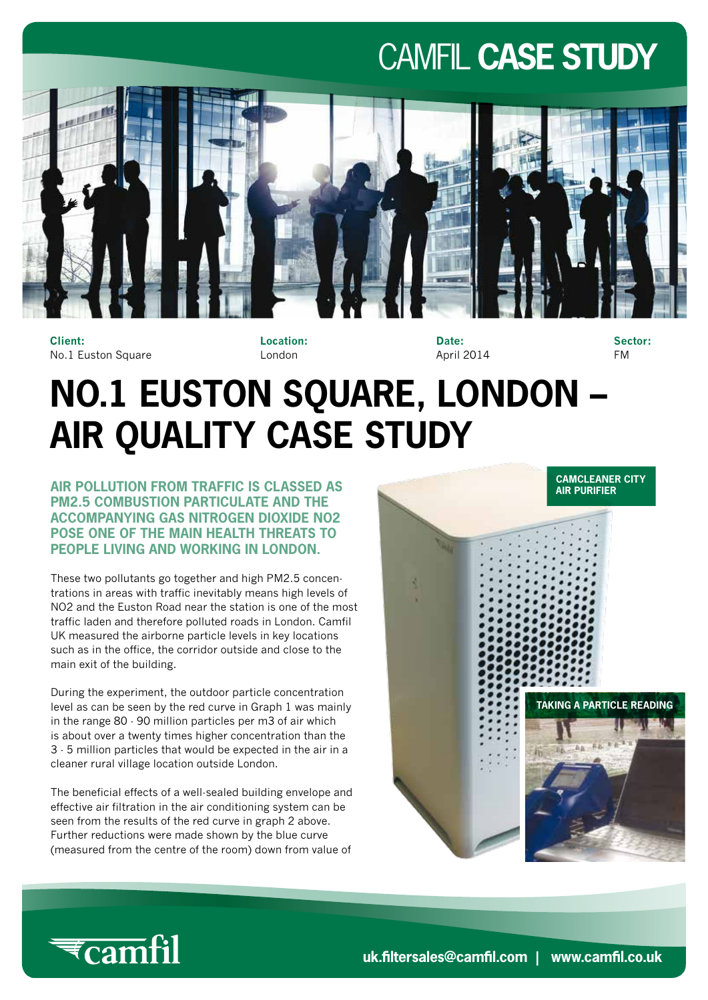### CAMFIL **CASE STUDY**



**Client:** No.1 Euston Square **Location:** London

**Date:** April 2014

**Sector:** FM

## **NO.1 EUSTON SQUARE, LONDON – AIR QUALITY CASE STUDY**

**AIR POLLUTION FROM TRAFFIC IS CLASSED AS PM2.5 COMBUSTION PARTICULATE AND THE ACCOMPANYING GAS NITROGEN DIOXIDE NO2 POSE ONE OF THE MAIN HEALTH THREATS TO PEOPLE LIVING AND WORKING IN LONDON.**

These two pollutants go together and high PM2.5 concentrations in areas with traffic inevitably means high levels of NO2 and the Euston Road near the station is one of the most traffic laden and therefore polluted roads in London. Camfil UK measured the airborne particle levels in key locations such as in the office, the corridor outside and close to the main exit of the building.

During the experiment, the outdoor particle concentration level as can be seen by the red curve in Graph 1 was mainly in the range 80 - 90 million particles per m3 of air which is about over a twenty times higher concentration than the 3 - 5 million particles that would be expected in the air in a cleaner rural village location outside London.

The beneficial effects of a well-sealed building envelope and effective air filtration in the air conditioning system can be seen from the results of the red curve in graph 2 above. Further reductions were made shown by the blue curve (measured from the centre of the room) down from value of